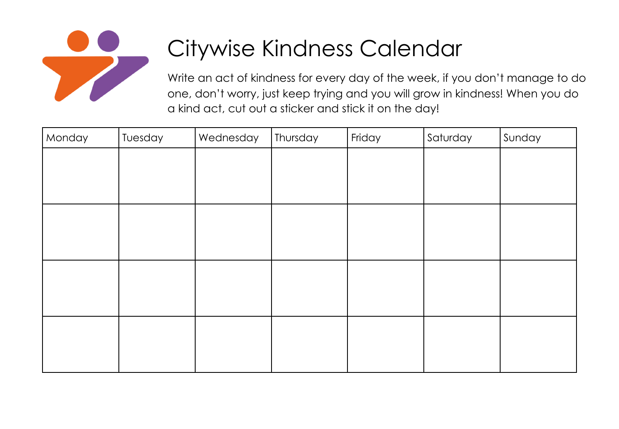

## Citywise Kindness Calendar

Write an act of kindness for every day of the week, if you don't manage to do one, don't worry, just keep trying and you will grow in kindness! When you do a kind act, cut out a sticker and stick it on the day!

| Monday | Tuesday | Wednesday | Thursday | Friday | Saturday | Sunday |
|--------|---------|-----------|----------|--------|----------|--------|
|        |         |           |          |        |          |        |
|        |         |           |          |        |          |        |
|        |         |           |          |        |          |        |
|        |         |           |          |        |          |        |
|        |         |           |          |        |          |        |
|        |         |           |          |        |          |        |
|        |         |           |          |        |          |        |
|        |         |           |          |        |          |        |
|        |         |           |          |        |          |        |
|        |         |           |          |        |          |        |
|        |         |           |          |        |          |        |
|        |         |           |          |        |          |        |